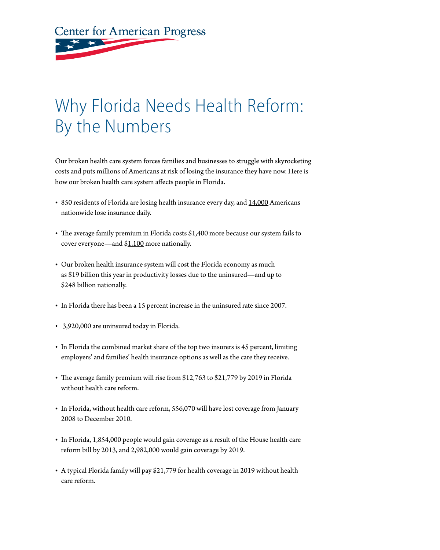**Center for American Progress** 

## Why Florida Needs Health Reform: By the Numbers

Our broken health care system forces families and businesses to struggle with skyrocketing costs and puts millions of Americans at risk of losing the insurance they have now. Here is how our broken health care system affects people in Florida.

- 850 residents of Florida are losing health insurance every day, and [14,000](http://www.americanprogressaction.org/issues/2009/02/health_in_crisis.html) Americans nationwide lose insurance daily.
- The average family premium in Florida costs \$1,400 more because our system fails to cover everyone—and [\\$1,100](http://www.americanprogress.org/issues/2009/03/cost_shift.html) more nationally.
- Our broken health insurance system will cost the Florida economy as much as \$19 billion this year in productivity losses due to the uninsured—and up to [\\$248 billion](http://www.americanprogress.org/issues/2009/05/productivity_map.html) nationally.
- In Florida there has been a 15 percent increase in the uninsured rate since 2007.
- • 3,920,000 are uninsured today in Florida.
- In Florida the combined market share of the top two insurers is 45 percent, limiting employers' and families' health insurance options as well as the care they receive.
- The average family premium will rise from \$12,763 to \$21,779 by 2019 in Florida without health care reform.
- In Florida, without health care reform, 556,070 will have lost coverage from January 2008 to December 2010.
- In Florida, 1,854,000 people would gain coverage as a result of the House health care reform bill by 2013, and 2,982,000 would gain coverage by 2019.
- A typical Florida family will pay \$21,779 for health coverage in 2019 without health care reform.